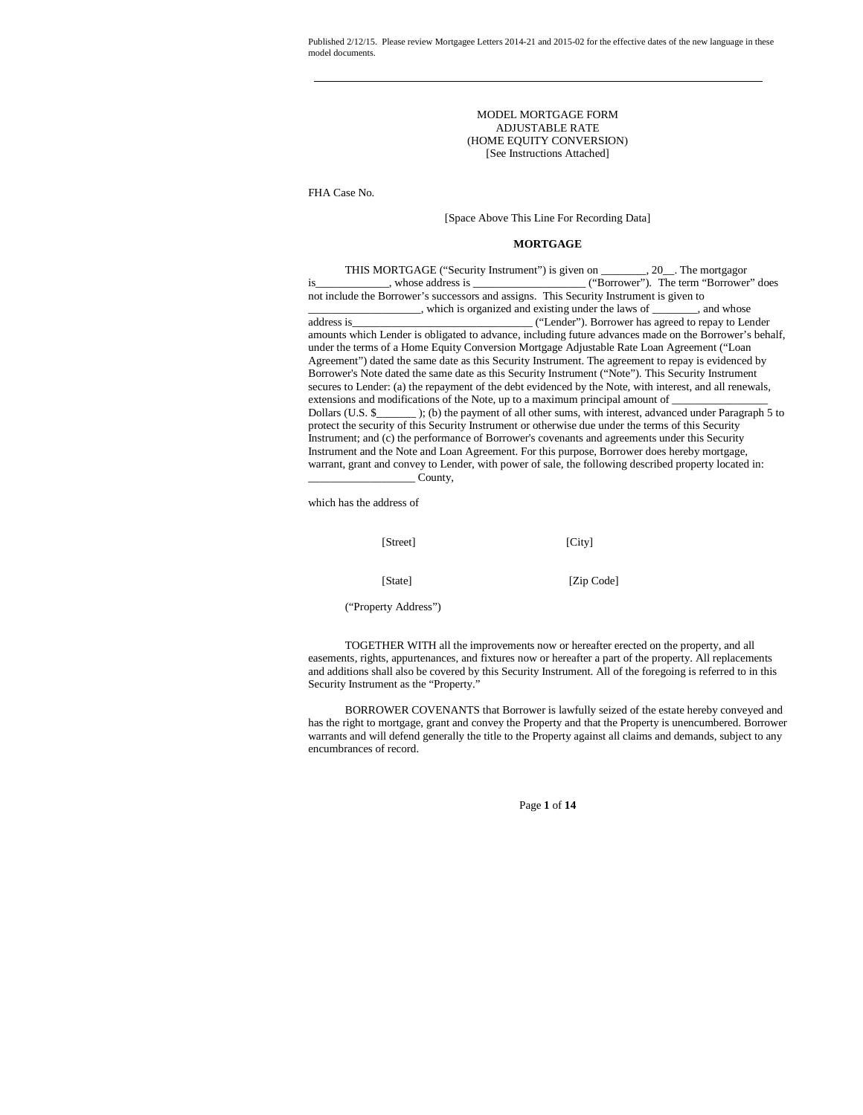> MODEL MORTGAGE FORM ADJUSTABLE RATE (HOME EQUITY CONVERSION) [See Instructions Attached]

FHA Case No.

# [Space Above This Line For Recording Data]

## **MORTGAGE**

| THIS MORTGAGE ("Security Instrument") is given on _______, 20_. The mortgagor                            |
|----------------------------------------------------------------------------------------------------------|
| is ___________, whose address is __________________("Borrower"). The term "Borrower" does                |
| not include the Borrower's successors and assigns. This Security Instrument is given to                  |
| which is organized and existing under the laws of _______, and whose                                     |
| address is<br>("Lender"). Borrower has agreed to repay to Lender                                         |
| amounts which Lender is obligated to advance, including future advances made on the Borrower's behalf,   |
| under the terms of a Home Equity Conversion Mortgage Adjustable Rate Loan Agreement ("Loan               |
| Agreement") dated the same date as this Security Instrument. The agreement to repay is evidenced by      |
| Borrower's Note dated the same date as this Security Instrument ("Note"). This Security Instrument       |
| secures to Lender: (a) the repayment of the debt evidenced by the Note, with interest, and all renewals, |
| extensions and modifications of the Note, up to a maximum principal amount of                            |
| Dollars (U.S. \$); (b) the payment of all other sums, with interest, advanced under Paragraph 5 to       |
| protect the security of this Security Instrument or otherwise due under the terms of this Security       |
| Instrument; and (c) the performance of Borrower's covenants and agreements under this Security           |
| Instrument and the Note and Loan Agreement. For this purpose, Borrower does hereby mortgage,             |
| warrant, grant and convey to Lender, with power of sale, the following described property located in:    |
| County,                                                                                                  |

which has the address of

| [Street] | [City]     |
|----------|------------|
| [State]  | [Zip Code] |

("Property Address")

TOGETHER WITH all the improvements now or hereafter erected on the property, and all easements, rights, appurtenances, and fixtures now or hereafter a part of the property. All replacements and additions shall also be covered by this Security Instrument. All of the foregoing is referred to in this Security Instrument as the "Property."

BORROWER COVENANTS that Borrower is lawfully seized of the estate hereby conveyed and has the right to mortgage, grant and convey the Property and that the Property is unencumbered. Borrower warrants and will defend generally the title to the Property against all claims and demands, subject to any encumbrances of record.

Page **1** of **14**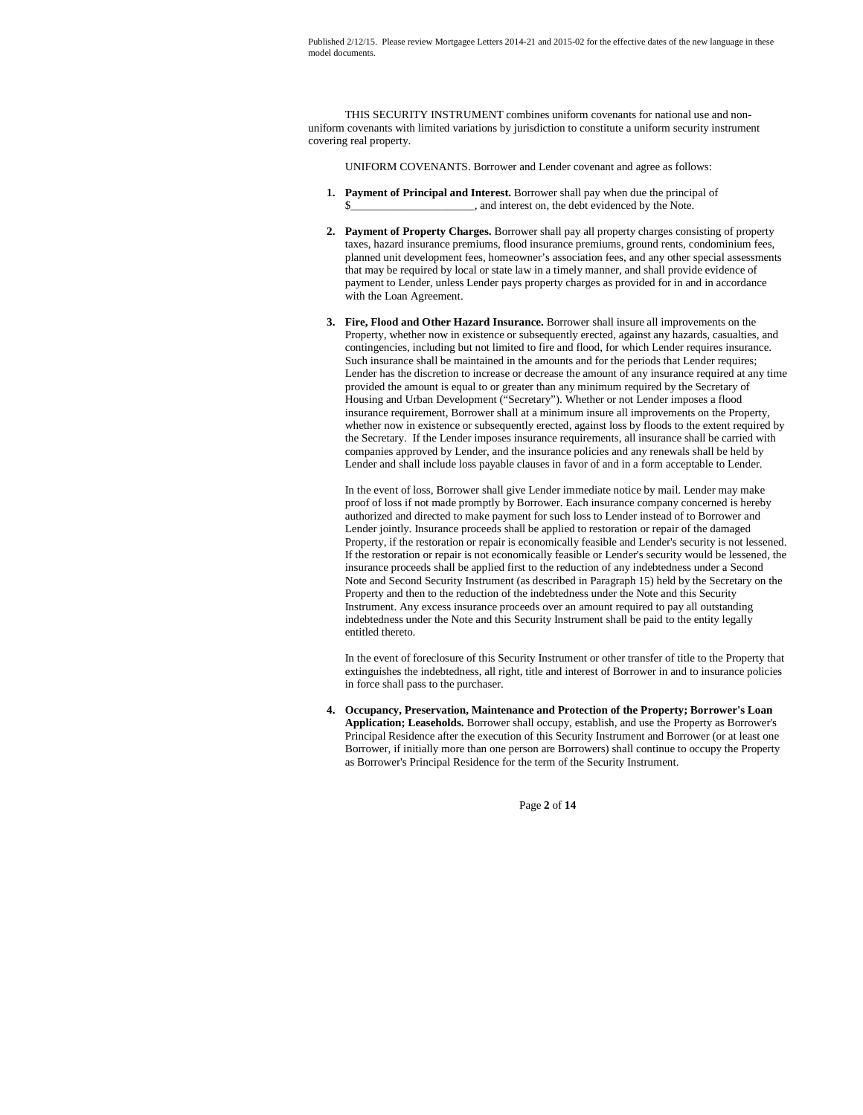THIS SECURITY INSTRUMENT combines uniform covenants for national use and nonuniform covenants with limited variations by jurisdiction to constitute a uniform security instrument covering real property.

UNIFORM COVENANTS. Borrower and Lender covenant and agree as follows:

- **1. Payment of Principal and Interest.** Borrower shall pay when due the principal of  $\Box$ , and interest on, the debt evidenced by the Note.
- **2. Payment of Property Charges.** Borrower shall pay all property charges consisting of property taxes, hazard insurance premiums, flood insurance premiums, ground rents, condominium fees, planned unit development fees, homeowner's association fees, and any other special assessments that may be required by local or state law in a timely manner, and shall provide evidence of payment to Lender, unless Lender pays property charges as provided for in and in accordance with the Loan Agreement.
- **3. Fire, Flood and Other Hazard Insurance.** Borrower shall insure all improvements on the Property, whether now in existence or subsequently erected, against any hazards, casualties, and contingencies, including but not limited to fire and flood, for which Lender requires insurance. Such insurance shall be maintained in the amounts and for the periods that Lender requires; Lender has the discretion to increase or decrease the amount of any insurance required at any time provided the amount is equal to or greater than any minimum required by the Secretary of Housing and Urban Development ("Secretary"). Whether or not Lender imposes a flood insurance requirement, Borrower shall at a minimum insure all improvements on the Property, whether now in existence or subsequently erected, against loss by floods to the extent required by the Secretary. If the Lender imposes insurance requirements, all insurance shall be carried with companies approved by Lender, and the insurance policies and any renewals shall be held by Lender and shall include loss payable clauses in favor of and in a form acceptable to Lender.

In the event of loss, Borrower shall give Lender immediate notice by mail. Lender may make proof of loss if not made promptly by Borrower. Each insurance company concerned is hereby authorized and directed to make payment for such loss to Lender instead of to Borrower and Lender jointly. Insurance proceeds shall be applied to restoration or repair of the damaged Property, if the restoration or repair is economically feasible and Lender's security is not lessened. If the restoration or repair is not economically feasible or Lender's security would be lessened, the insurance proceeds shall be applied first to the reduction of any indebtedness under a Second Note and Second Security Instrument (as described in Paragraph 15) held by the Secretary on the Property and then to the reduction of the indebtedness under the Note and this Security Instrument. Any excess insurance proceeds over an amount required to pay all outstanding indebtedness under the Note and this Security Instrument shall be paid to the entity legally entitled thereto.

In the event of foreclosure of this Security Instrument or other transfer of title to the Property that extinguishes the indebtedness, all right, title and interest of Borrower in and to insurance policies in force shall pass to the purchaser.

**4. Occupancy, Preservation, Maintenance and Protection of the Property; Borrower's Loan Application; Leaseholds.** Borrower shall occupy, establish, and use the Property as Borrower's Principal Residence after the execution of this Security Instrument and Borrower (or at least one Borrower, if initially more than one person are Borrowers) shall continue to occupy the Property as Borrower's Principal Residence for the term of the Security Instrument.

Page **2** of **14**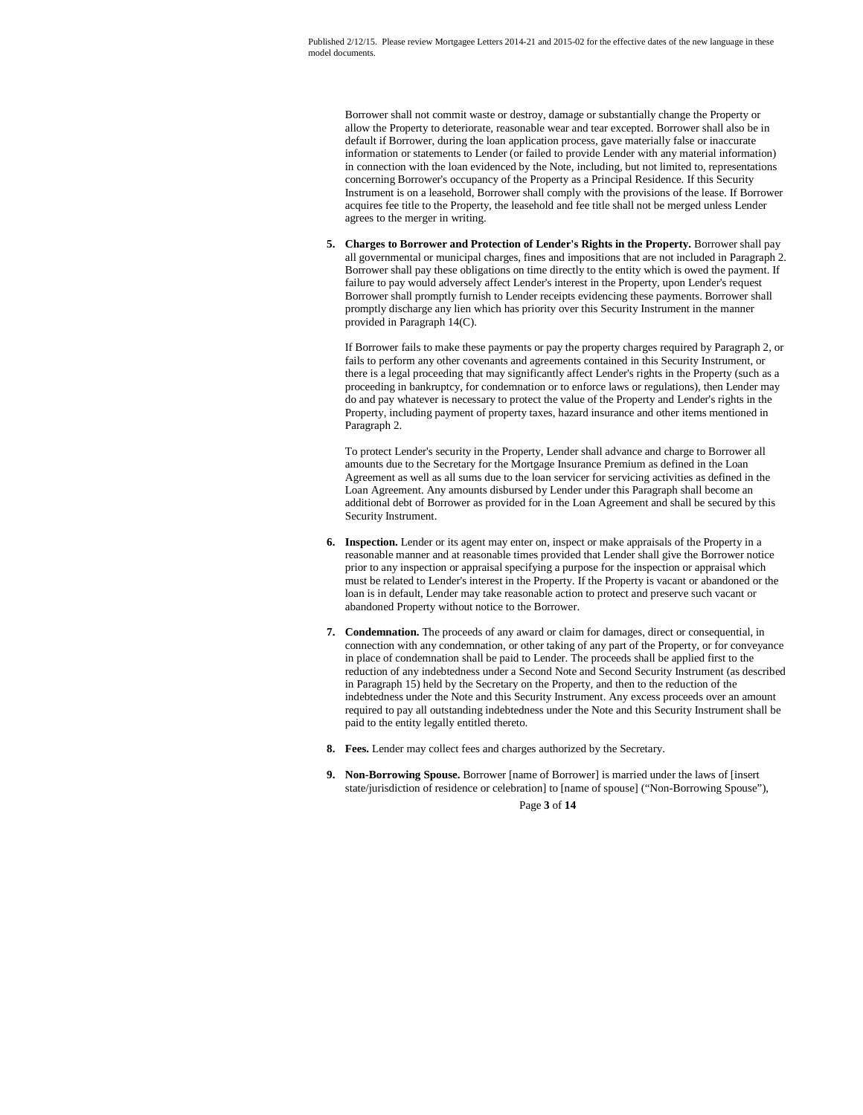Borrower shall not commit waste or destroy, damage or substantially change the Property or allow the Property to deteriorate, reasonable wear and tear excepted. Borrower shall also be in default if Borrower, during the loan application process, gave materially false or inaccurate information or statements to Lender (or failed to provide Lender with any material information) in connection with the loan evidenced by the Note, including, but not limited to, representations concerning Borrower's occupancy of the Property as a Principal Residence. If this Security Instrument is on a leasehold, Borrower shall comply with the provisions of the lease. If Borrower acquires fee title to the Property, the leasehold and fee title shall not be merged unless Lender agrees to the merger in writing.

**5. Charges to Borrower and Protection of Lender's Rights in the Property.** Borrower shall pay all governmental or municipal charges, fines and impositions that are not included in Paragraph 2. Borrower shall pay these obligations on time directly to the entity which is owed the payment. If failure to pay would adversely affect Lender's interest in the Property, upon Lender's request Borrower shall promptly furnish to Lender receipts evidencing these payments. Borrower shall promptly discharge any lien which has priority over this Security Instrument in the manner provided in Paragraph 14(C).

If Borrower fails to make these payments or pay the property charges required by Paragraph 2, or fails to perform any other covenants and agreements contained in this Security Instrument, or there is a legal proceeding that may significantly affect Lender's rights in the Property (such as a proceeding in bankruptcy, for condemnation or to enforce laws or regulations), then Lender may do and pay whatever is necessary to protect the value of the Property and Lender's rights in the Property, including payment of property taxes, hazard insurance and other items mentioned in Paragraph 2.

To protect Lender's security in the Property, Lender shall advance and charge to Borrower all amounts due to the Secretary for the Mortgage Insurance Premium as defined in the Loan Agreement as well as all sums due to the loan servicer for servicing activities as defined in the Loan Agreement. Any amounts disbursed by Lender under this Paragraph shall become an additional debt of Borrower as provided for in the Loan Agreement and shall be secured by this Security Instrument.

- **6. Inspection.** Lender or its agent may enter on, inspect or make appraisals of the Property in a reasonable manner and at reasonable times provided that Lender shall give the Borrower notice prior to any inspection or appraisal specifying a purpose for the inspection or appraisal which must be related to Lender's interest in the Property. If the Property is vacant or abandoned or the loan is in default, Lender may take reasonable action to protect and preserve such vacant or abandoned Property without notice to the Borrower.
- **7. Condemnation.** The proceeds of any award or claim for damages, direct or consequential, in connection with any condemnation, or other taking of any part of the Property, or for conveyance in place of condemnation shall be paid to Lender. The proceeds shall be applied first to the reduction of any indebtedness under a Second Note and Second Security Instrument (as described in Paragraph 15) held by the Secretary on the Property, and then to the reduction of the indebtedness under the Note and this Security Instrument. Any excess proceeds over an amount required to pay all outstanding indebtedness under the Note and this Security Instrument shall be paid to the entity legally entitled thereto.
- **8. Fees.** Lender may collect fees and charges authorized by the Secretary.
- Page **3** of **14 9. Non-Borrowing Spouse.** Borrower [name of Borrower] is married under the laws of [insert state/jurisdiction of residence or celebration] to [name of spouse] ("Non-Borrowing Spouse"),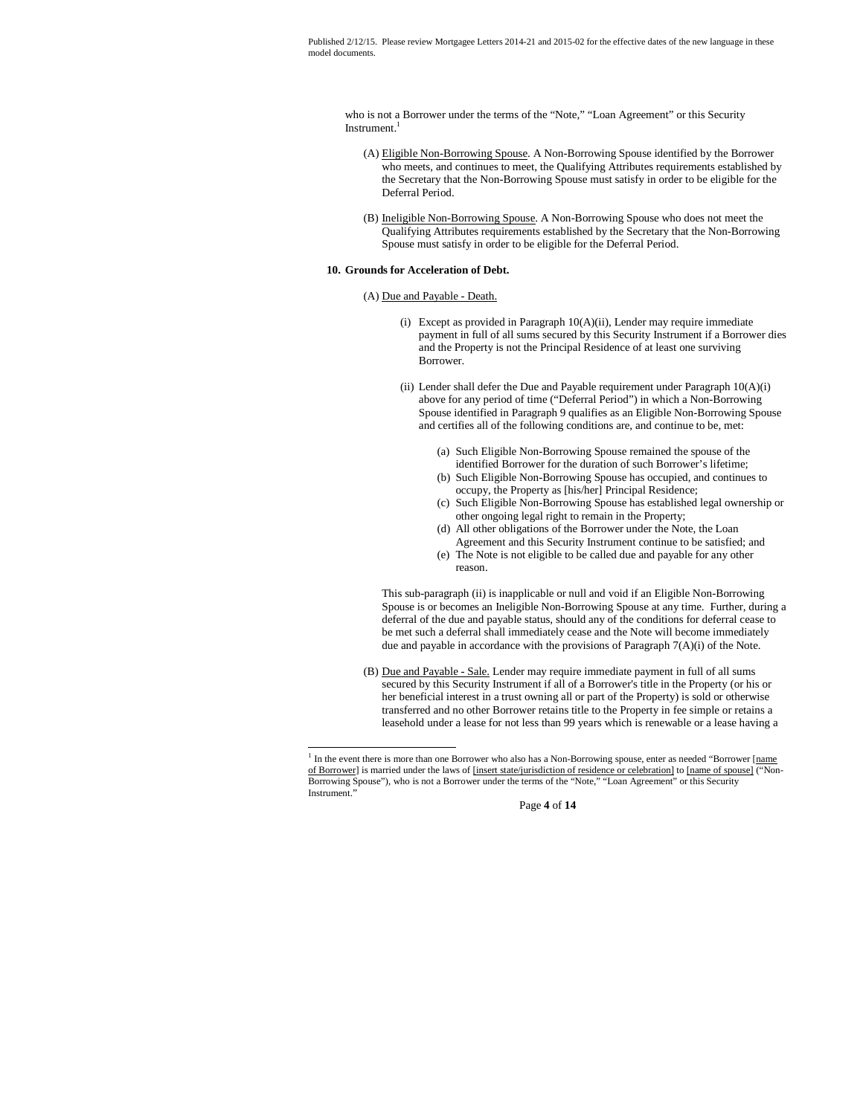who is not a Borrower under the terms of the "Note," "Loan Agreement" or this Security Instrument.<sup>1</sup>

- (A) Eligible Non-Borrowing Spouse. A Non-Borrowing Spouse identified by the Borrower who meets, and continues to meet, the Qualifying Attributes requirements established by the Secretary that the Non-Borrowing Spouse must satisfy in order to be eligible for the Deferral Period.
- (B) Ineligible Non-Borrowing Spouse. A Non-Borrowing Spouse who does not meet the Qualifying Attributes requirements established by the Secretary that the Non-Borrowing Spouse must satisfy in order to be eligible for the Deferral Period.

## **10. Grounds for Acceleration of Debt.**

### (A) Due and Payable - Death.

- (i) Except as provided in Paragraph 10(A)(ii), Lender may require immediate payment in full of all sums secured by this Security Instrument if a Borrower dies and the Property is not the Principal Residence of at least one surviving Borrower.
- (ii) Lender shall defer the Due and Payable requirement under Paragraph  $10(A)(i)$ above for any period of time ("Deferral Period") in which a Non-Borrowing Spouse identified in Paragraph 9 qualifies as an Eligible Non-Borrowing Spouse and certifies all of the following conditions are, and continue to be, met:
	- (a) Such Eligible Non-Borrowing Spouse remained the spouse of the identified Borrower for the duration of such Borrower's lifetime;
	- (b) Such Eligible Non-Borrowing Spouse has occupied, and continues to occupy, the Property as [his/her] Principal Residence;
	- (c) Such Eligible Non-Borrowing Spouse has established legal ownership or other ongoing legal right to remain in the Property;
	- (d) All other obligations of the Borrower under the Note, the Loan Agreement and this Security Instrument continue to be satisfied; and
	- (e) The Note is not eligible to be called due and payable for any other reason.

This sub-paragraph (ii) is inapplicable or null and void if an Eligible Non-Borrowing Spouse is or becomes an Ineligible Non-Borrowing Spouse at any time. Further, during a deferral of the due and payable status, should any of the conditions for deferral cease to be met such a deferral shall immediately cease and the Note will become immediately due and payable in accordance with the provisions of Paragraph 7(A)(i) of the Note.

(B) Due and Payable - Sale. Lender may require immediate payment in full of all sums secured by this Security Instrument if all of a Borrower's title in the Property (or his or her beneficial interest in a trust owning all or part of the Property) is sold or otherwise transferred and no other Borrower retains title to the Property in fee simple or retains a leasehold under a lease for not less than 99 years which is renewable or a lease having a

Page **4** of **14**

<sup>&</sup>lt;sup>1</sup> In the event there is more than one Borrower who also has a Non-Borrowing spouse, enter as needed "Borrower [name of Borrower] is married under the laws of [insert state/jurisdiction of residence or celebration] to [name of spouse] ("Non-Borrowing Spouse"), who is not a Borrower under the terms of the "Note," "Loan Agreement" or this Security Instrument."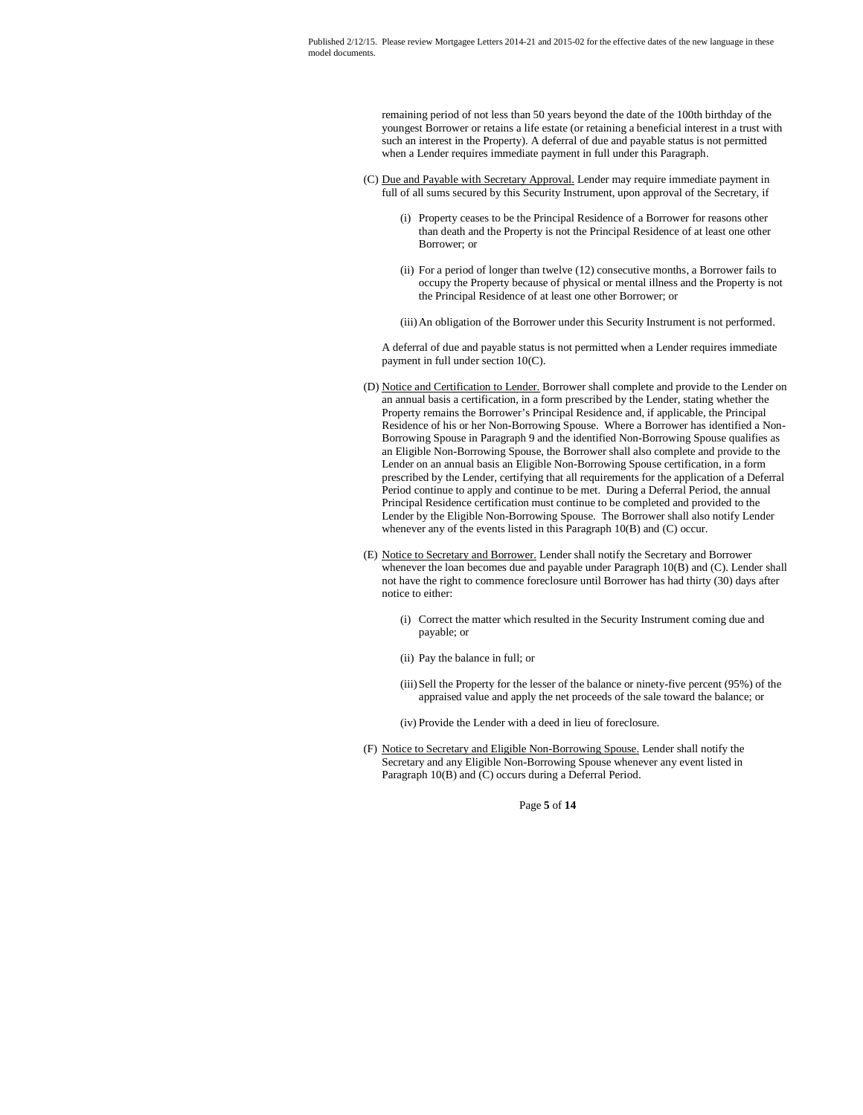> remaining period of not less than 50 years beyond the date of the 100th birthday of the youngest Borrower or retains a life estate (or retaining a beneficial interest in a trust with such an interest in the Property). A deferral of due and payable status is not permitted when a Lender requires immediate payment in full under this Paragraph.

- (C) Due and Payable with Secretary Approval. Lender may require immediate payment in full of all sums secured by this Security Instrument, upon approval of the Secretary, if
	- (i) Property ceases to be the Principal Residence of a Borrower for reasons other than death and the Property is not the Principal Residence of at least one other Borrower; or
	- (ii) For a period of longer than twelve (12) consecutive months, a Borrower fails to occupy the Property because of physical or mental illness and the Property is not the Principal Residence of at least one other Borrower; or

(iii)An obligation of the Borrower under this Security Instrument is not performed.

A deferral of due and payable status is not permitted when a Lender requires immediate payment in full under section 10(C).

- (D) Notice and Certification to Lender. Borrower shall complete and provide to the Lender on an annual basis a certification, in a form prescribed by the Lender, stating whether the Property remains the Borrower's Principal Residence and, if applicable, the Principal Residence of his or her Non-Borrowing Spouse. Where a Borrower has identified a Non-Borrowing Spouse in Paragraph 9 and the identified Non-Borrowing Spouse qualifies as an Eligible Non-Borrowing Spouse, the Borrower shall also complete and provide to the Lender on an annual basis an Eligible Non-Borrowing Spouse certification, in a form prescribed by the Lender, certifying that all requirements for the application of a Deferral Period continue to apply and continue to be met. During a Deferral Period, the annual Principal Residence certification must continue to be completed and provided to the Lender by the Eligible Non-Borrowing Spouse. The Borrower shall also notify Lender whenever any of the events listed in this Paragraph 10(B) and (C) occur.
- (E) Notice to Secretary and Borrower. Lender shall notify the Secretary and Borrower whenever the loan becomes due and payable under Paragraph 10(B) and (C). Lender shall not have the right to commence foreclosure until Borrower has had thirty (30) days after notice to either:
	- (i) Correct the matter which resulted in the Security Instrument coming due and payable; or
	- (ii) Pay the balance in full; or
	- (iii)Sell the Property for the lesser of the balance or ninety-five percent (95%) of the appraised value and apply the net proceeds of the sale toward the balance; or
	- (iv) Provide the Lender with a deed in lieu of foreclosure.
- (F) Notice to Secretary and Eligible Non-Borrowing Spouse. Lender shall notify the Secretary and any Eligible Non-Borrowing Spouse whenever any event listed in Paragraph 10(B) and (C) occurs during a Deferral Period.

Page **5** of **14**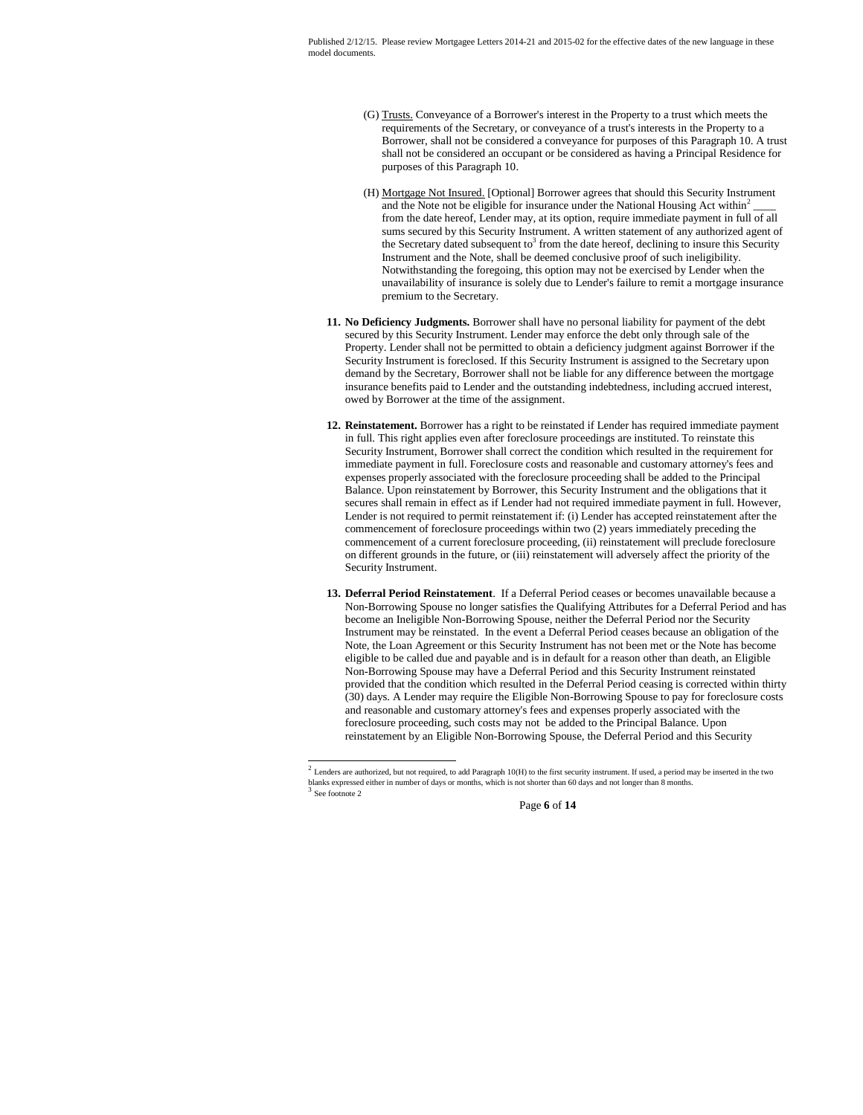- (G) Trusts. Conveyance of a Borrower's interest in the Property to a trust which meets the requirements of the Secretary, or conveyance of a trust's interests in the Property to a Borrower, shall not be considered a conveyance for purposes of this Paragraph 10. A trust shall not be considered an occupant or be considered as having a Principal Residence for purposes of this Paragraph 10.
- (H) Mortgage Not Insured. [Optional] Borrower agrees that should this Security Instrument and the Note not be eligible for insurance under the National Housing Act within<sup>2</sup>  $\overline{\phantom{a}}$ from the date hereof, Lender may, at its option, require immediate payment in full of all sums secured by this Security Instrument. A written statement of any authorized agent of the Secretary dated subsequent to<sup>3</sup> from the date hereof, declining to insure this Security Instrument and the Note, shall be deemed conclusive proof of such ineligibility. Notwithstanding the foregoing, this option may not be exercised by Lender when the unavailability of insurance is solely due to Lender's failure to remit a mortgage insurance premium to the Secretary.
- **11. No Deficiency Judgments.** Borrower shall have no personal liability for payment of the debt secured by this Security Instrument. Lender may enforce the debt only through sale of the Property. Lender shall not be permitted to obtain a deficiency judgment against Borrower if the Security Instrument is foreclosed. If this Security Instrument is assigned to the Secretary upon demand by the Secretary, Borrower shall not be liable for any difference between the mortgage insurance benefits paid to Lender and the outstanding indebtedness, including accrued interest, owed by Borrower at the time of the assignment.
- **12. Reinstatement.** Borrower has a right to be reinstated if Lender has required immediate payment in full. This right applies even after foreclosure proceedings are instituted. To reinstate this Security Instrument, Borrower shall correct the condition which resulted in the requirement for immediate payment in full. Foreclosure costs and reasonable and customary attorney's fees and expenses properly associated with the foreclosure proceeding shall be added to the Principal Balance. Upon reinstatement by Borrower, this Security Instrument and the obligations that it secures shall remain in effect as if Lender had not required immediate payment in full. However, Lender is not required to permit reinstatement if: (i) Lender has accepted reinstatement after the commencement of foreclosure proceedings within two (2) years immediately preceding the commencement of a current foreclosure proceeding, (ii) reinstatement will preclude foreclosure on different grounds in the future, or (iii) reinstatement will adversely affect the priority of the Security Instrument.
- **13. Deferral Period Reinstatement**. If a Deferral Period ceases or becomes unavailable because a Non-Borrowing Spouse no longer satisfies the Qualifying Attributes for a Deferral Period and has become an Ineligible Non-Borrowing Spouse, neither the Deferral Period nor the Security Instrument may be reinstated. In the event a Deferral Period ceases because an obligation of the Note, the Loan Agreement or this Security Instrument has not been met or the Note has become eligible to be called due and payable and is in default for a reason other than death, an Eligible Non-Borrowing Spouse may have a Deferral Period and this Security Instrument reinstated provided that the condition which resulted in the Deferral Period ceasing is corrected within thirty (30) days. A Lender may require the Eligible Non-Borrowing Spouse to pay for foreclosure costs and reasonable and customary attorney's fees and expenses properly associated with the foreclosure proceeding, such costs may not be added to the Principal Balance. Upon reinstatement by an Eligible Non-Borrowing Spouse, the Deferral Period and this Security

 $<sup>2</sup>$  Lenders are authorized, but not required, to add Paragraph 10(H) to the first security instrument. If used, a period may be inserted in the two</sup> blanks expressed either in number of days or months, which is not shorter than 60 days and not longer than 8 months.<br><sup>3</sup> See fect to the See footnote 2

Page **6** of **14**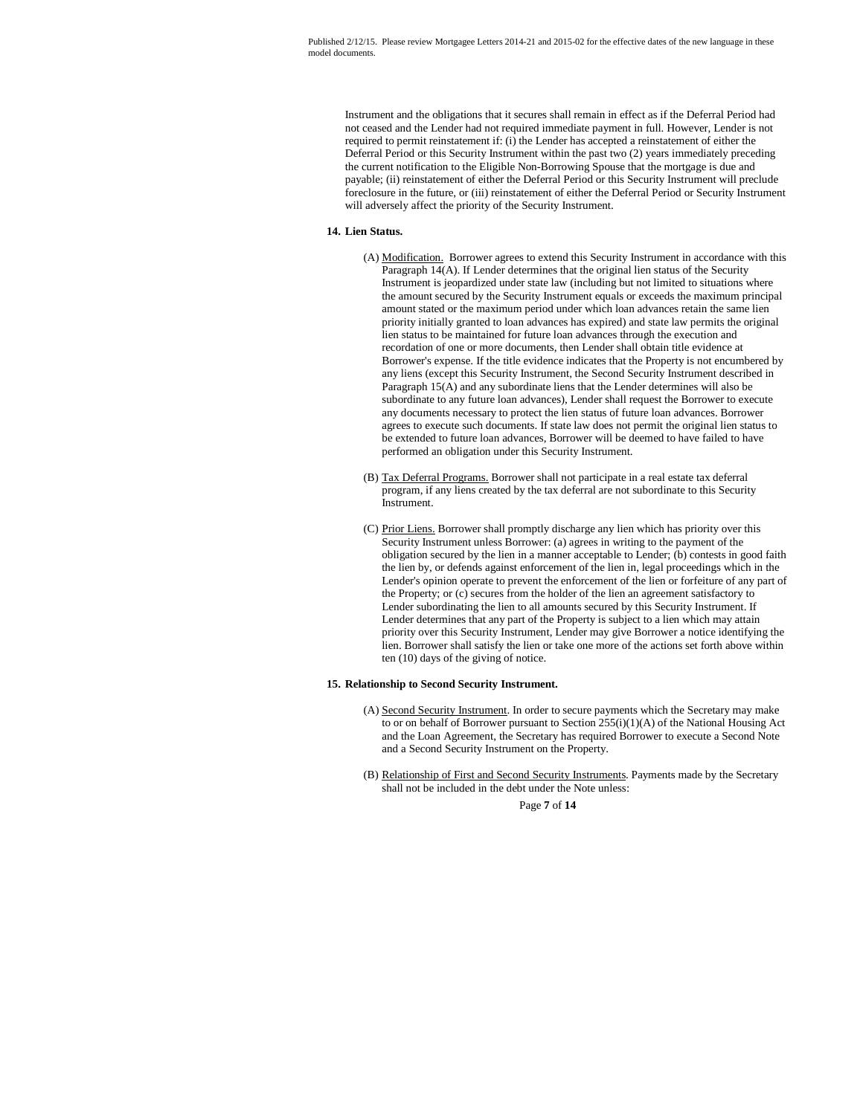Instrument and the obligations that it secures shall remain in effect as if the Deferral Period had not ceased and the Lender had not required immediate payment in full. However, Lender is not required to permit reinstatement if: (i) the Lender has accepted a reinstatement of either the Deferral Period or this Security Instrument within the past two (2) years immediately preceding the current notification to the Eligible Non-Borrowing Spouse that the mortgage is due and payable; (ii) reinstatement of either the Deferral Period or this Security Instrument will preclude foreclosure in the future, or (iii) reinstatement of either the Deferral Period or Security Instrument will adversely affect the priority of the Security Instrument.

# **14. Lien Status.**

- (A) Modification. Borrower agrees to extend this Security Instrument in accordance with this Paragraph 14(A). If Lender determines that the original lien status of the Security Instrument is jeopardized under state law (including but not limited to situations where the amount secured by the Security Instrument equals or exceeds the maximum principal amount stated or the maximum period under which loan advances retain the same lien priority initially granted to loan advances has expired) and state law permits the original lien status to be maintained for future loan advances through the execution and recordation of one or more documents, then Lender shall obtain title evidence at Borrower's expense. If the title evidence indicates that the Property is not encumbered by any liens (except this Security Instrument, the Second Security Instrument described in Paragraph 15(A) and any subordinate liens that the Lender determines will also be subordinate to any future loan advances), Lender shall request the Borrower to execute any documents necessary to protect the lien status of future loan advances. Borrower agrees to execute such documents. If state law does not permit the original lien status to be extended to future loan advances, Borrower will be deemed to have failed to have performed an obligation under this Security Instrument.
- (B) Tax Deferral Programs. Borrower shall not participate in a real estate tax deferral program, if any liens created by the tax deferral are not subordinate to this Security Instrument.
- (C) Prior Liens. Borrower shall promptly discharge any lien which has priority over this Security Instrument unless Borrower: (a) agrees in writing to the payment of the obligation secured by the lien in a manner acceptable to Lender; (b) contests in good faith the lien by, or defends against enforcement of the lien in, legal proceedings which in the Lender's opinion operate to prevent the enforcement of the lien or forfeiture of any part of the Property; or (c) secures from the holder of the lien an agreement satisfactory to Lender subordinating the lien to all amounts secured by this Security Instrument. If Lender determines that any part of the Property is subject to a lien which may attain priority over this Security Instrument, Lender may give Borrower a notice identifying the lien. Borrower shall satisfy the lien or take one more of the actions set forth above within ten (10) days of the giving of notice.

# **15. Relationship to Second Security Instrument.**

- (A) Second Security Instrument. In order to secure payments which the Secretary may make to or on behalf of Borrower pursuant to Section 255(i)(1)(A) of the National Housing Act and the Loan Agreement, the Secretary has required Borrower to execute a Second Note and a Second Security Instrument on the Property.
- (B) Relationship of First and Second Security Instruments. Payments made by the Secretary shall not be included in the debt under the Note unless:

Page **7** of **14**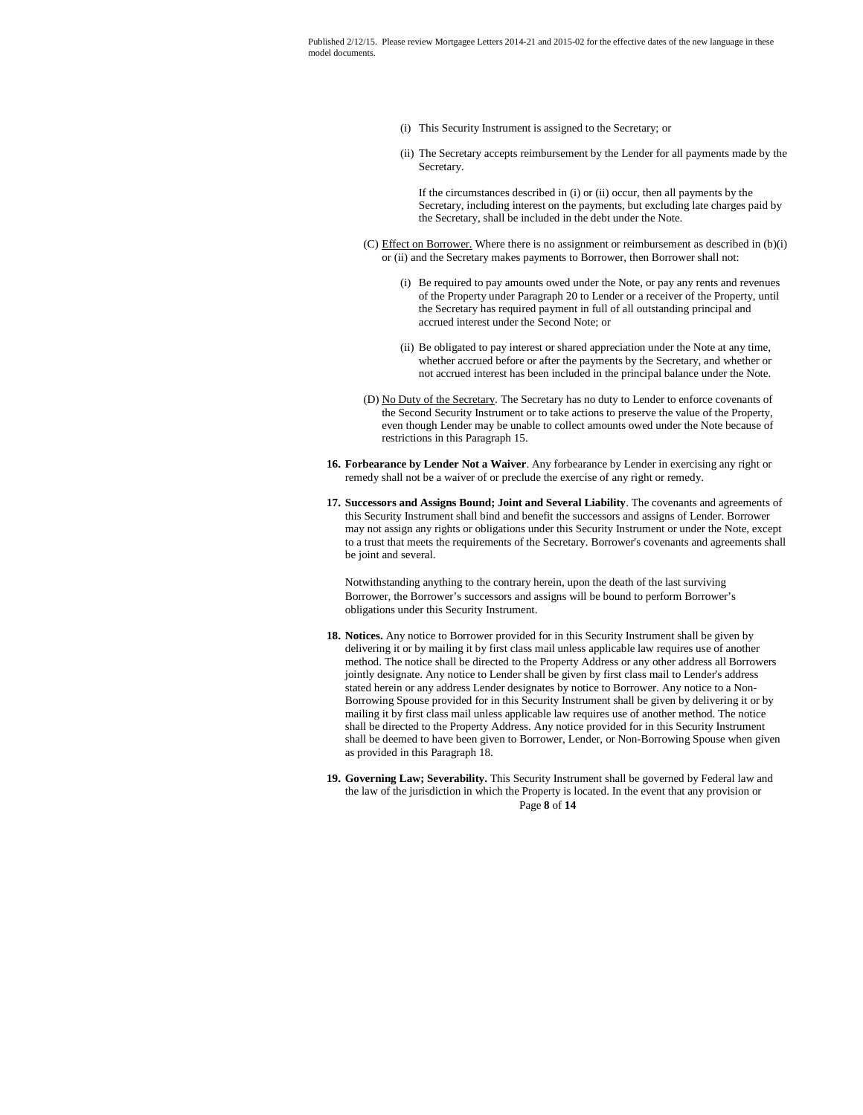- (i) This Security Instrument is assigned to the Secretary; or
- (ii) The Secretary accepts reimbursement by the Lender for all payments made by the Secretary.

If the circumstances described in (i) or (ii) occur, then all payments by the Secretary, including interest on the payments, but excluding late charges paid by the Secretary, shall be included in the debt under the Note.

- (C) Effect on Borrower. Where there is no assignment or reimbursement as described in (b)(i) or (ii) and the Secretary makes payments to Borrower, then Borrower shall not:
	- (i) Be required to pay amounts owed under the Note, or pay any rents and revenues of the Property under Paragraph 20 to Lender or a receiver of the Property, until the Secretary has required payment in full of all outstanding principal and accrued interest under the Second Note; or
	- (ii) Be obligated to pay interest or shared appreciation under the Note at any time, whether accrued before or after the payments by the Secretary, and whether or not accrued interest has been included in the principal balance under the Note.
- (D) No Duty of the Secretary. The Secretary has no duty to Lender to enforce covenants of the Second Security Instrument or to take actions to preserve the value of the Property, even though Lender may be unable to collect amounts owed under the Note because of restrictions in this Paragraph 15.
- **16. Forbearance by Lender Not a Waiver**. Any forbearance by Lender in exercising any right or remedy shall not be a waiver of or preclude the exercise of any right or remedy.
- **17. Successors and Assigns Bound; Joint and Several Liability**. The covenants and agreements of this Security Instrument shall bind and benefit the successors and assigns of Lender. Borrower may not assign any rights or obligations under this Security Instrument or under the Note, except to a trust that meets the requirements of the Secretary. Borrower's covenants and agreements shall be joint and several.

Notwithstanding anything to the contrary herein, upon the death of the last surviving Borrower, the Borrower's successors and assigns will be bound to perform Borrower's obligations under this Security Instrument.

- **18. Notices.** Any notice to Borrower provided for in this Security Instrument shall be given by delivering it or by mailing it by first class mail unless applicable law requires use of another method. The notice shall be directed to the Property Address or any other address all Borrowers jointly designate. Any notice to Lender shall be given by first class mail to Lender's address stated herein or any address Lender designates by notice to Borrower. Any notice to a Non-Borrowing Spouse provided for in this Security Instrument shall be given by delivering it or by mailing it by first class mail unless applicable law requires use of another method. The notice shall be directed to the Property Address. Any notice provided for in this Security Instrument shall be deemed to have been given to Borrower, Lender, or Non-Borrowing Spouse when given as provided in this Paragraph 18.
- Page **8** of **14 19. Governing Law; Severability.** This Security Instrument shall be governed by Federal law and the law of the jurisdiction in which the Property is located. In the event that any provision or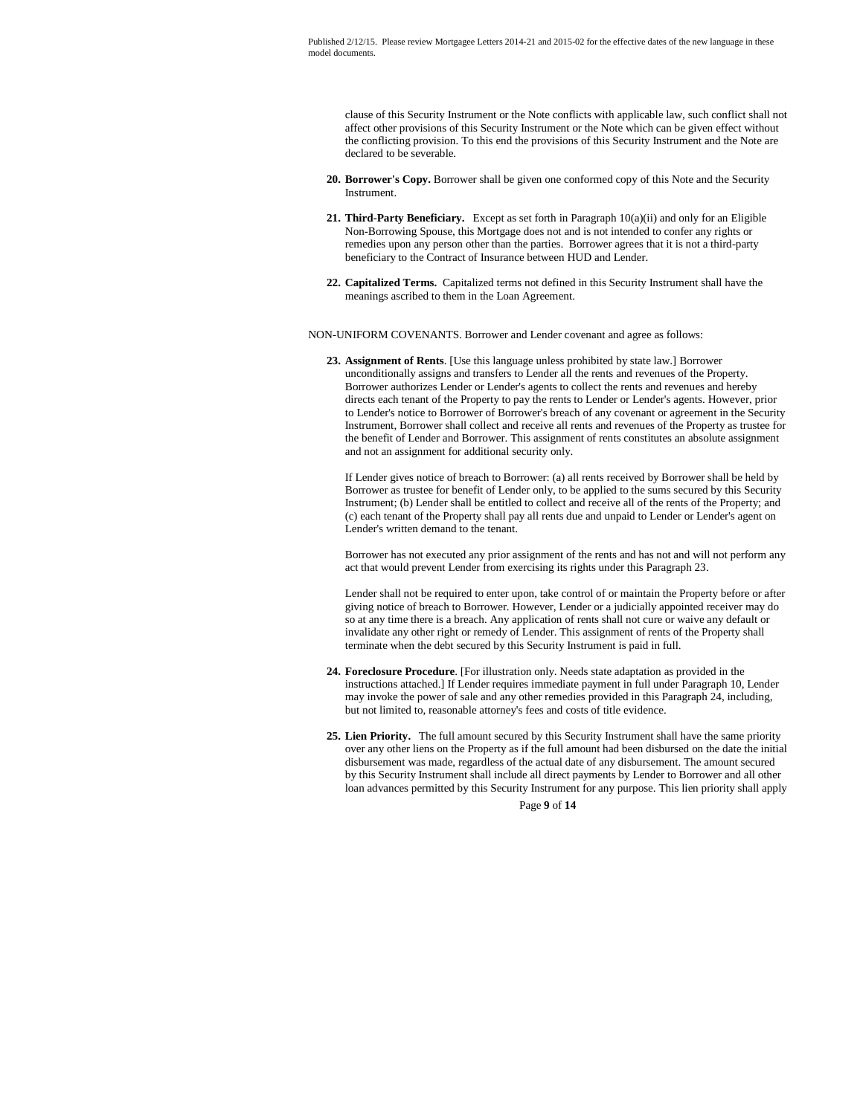clause of this Security Instrument or the Note conflicts with applicable law, such conflict shall not affect other provisions of this Security Instrument or the Note which can be given effect without the conflicting provision. To this end the provisions of this Security Instrument and the Note are declared to be severable.

- **20. Borrower's Copy.** Borrower shall be given one conformed copy of this Note and the Security Instrument.
- **21. Third-Party Beneficiary.** Except as set forth in Paragraph 10(a)(ii) and only for an Eligible Non-Borrowing Spouse, this Mortgage does not and is not intended to confer any rights or remedies upon any person other than the parties. Borrower agrees that it is not a third-party beneficiary to the Contract of Insurance between HUD and Lender.
- **22. Capitalized Terms.** Capitalized terms not defined in this Security Instrument shall have the meanings ascribed to them in the Loan Agreement.

NON-UNIFORM COVENANTS. Borrower and Lender covenant and agree as follows:

**23. Assignment of Rents**. [Use this language unless prohibited by state law.] Borrower unconditionally assigns and transfers to Lender all the rents and revenues of the Property. Borrower authorizes Lender or Lender's agents to collect the rents and revenues and hereby directs each tenant of the Property to pay the rents to Lender or Lender's agents. However, prior to Lender's notice to Borrower of Borrower's breach of any covenant or agreement in the Security Instrument, Borrower shall collect and receive all rents and revenues of the Property as trustee for the benefit of Lender and Borrower. This assignment of rents constitutes an absolute assignment and not an assignment for additional security only.

If Lender gives notice of breach to Borrower: (a) all rents received by Borrower shall be held by Borrower as trustee for benefit of Lender only, to be applied to the sums secured by this Security Instrument; (b) Lender shall be entitled to collect and receive all of the rents of the Property; and (c) each tenant of the Property shall pay all rents due and unpaid to Lender or Lender's agent on Lender's written demand to the tenant.

Borrower has not executed any prior assignment of the rents and has not and will not perform any act that would prevent Lender from exercising its rights under this Paragraph 23.

Lender shall not be required to enter upon, take control of or maintain the Property before or after giving notice of breach to Borrower. However, Lender or a judicially appointed receiver may do so at any time there is a breach. Any application of rents shall not cure or waive any default or invalidate any other right or remedy of Lender. This assignment of rents of the Property shall terminate when the debt secured by this Security Instrument is paid in full.

- **24. Foreclosure Procedure**. [For illustration only. Needs state adaptation as provided in the instructions attached.] If Lender requires immediate payment in full under Paragraph 10, Lender may invoke the power of sale and any other remedies provided in this Paragraph 24, including, but not limited to, reasonable attorney's fees and costs of title evidence.
- **25. Lien Priority.** The full amount secured by this Security Instrument shall have the same priority over any other liens on the Property as if the full amount had been disbursed on the date the initial disbursement was made, regardless of the actual date of any disbursement. The amount secured by this Security Instrument shall include all direct payments by Lender to Borrower and all other loan advances permitted by this Security Instrument for any purpose. This lien priority shall apply

Page **9** of **14**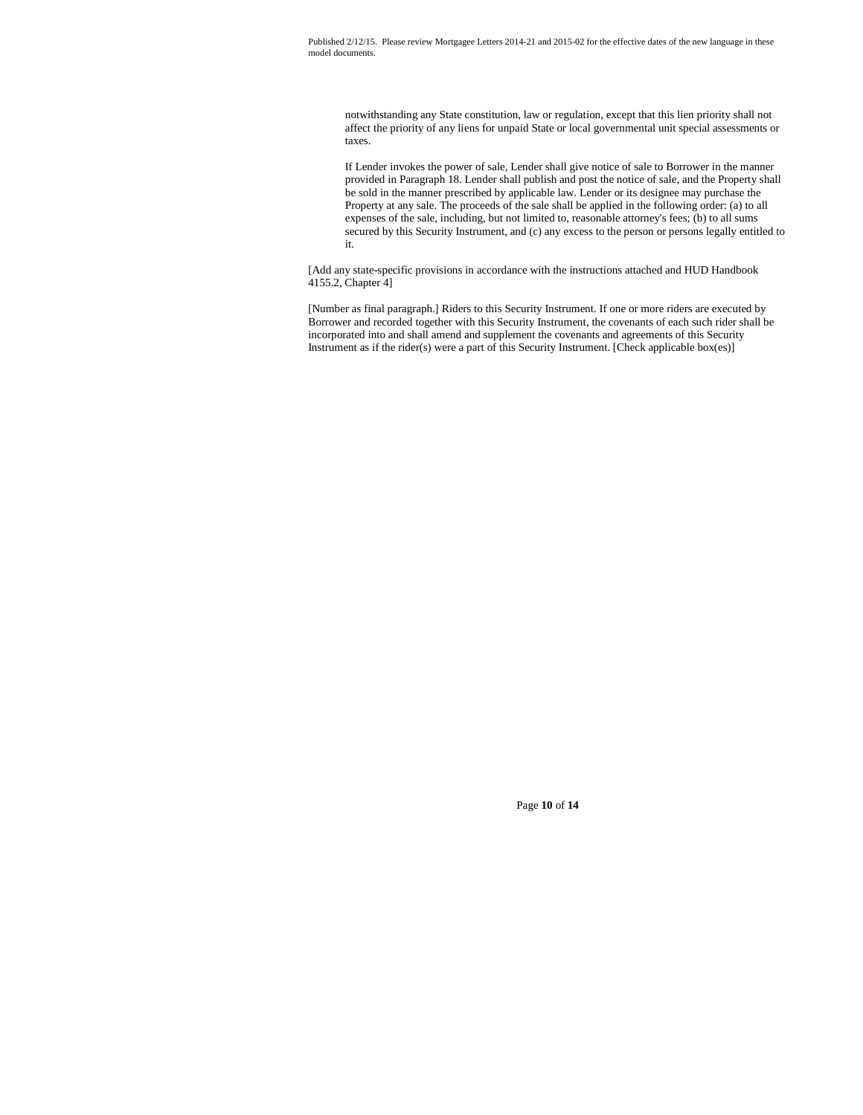notwithstanding any State constitution, law or regulation, except that this lien priority shall not affect the priority of any liens for unpaid State or local governmental unit special assessments or taxes.

If Lender invokes the power of sale, Lender shall give notice of sale to Borrower in the manner provided in Paragraph 18. Lender shall publish and post the notice of sale, and the Property shall be sold in the manner prescribed by applicable law. Lender or its designee may purchase the Property at any sale. The proceeds of the sale shall be applied in the following order: (a) to all expenses of the sale, including, but not limited to, reasonable attorney's fees; (b) to all sums secured by this Security Instrument, and (c) any excess to the person or persons legally entitled to it.

[Add any state-specific provisions in accordance with the instructions attached and HUD Handbook 4155.2, Chapter 4]

[Number as final paragraph.] Riders to this Security Instrument. If one or more riders are executed by Borrower and recorded together with this Security Instrument, the covenants of each such rider shall be incorporated into and shall amend and supplement the covenants and agreements of this Security Instrument as if the rider(s) were a part of this Security Instrument. [Check applicable box(es)]

Page **10** of **14**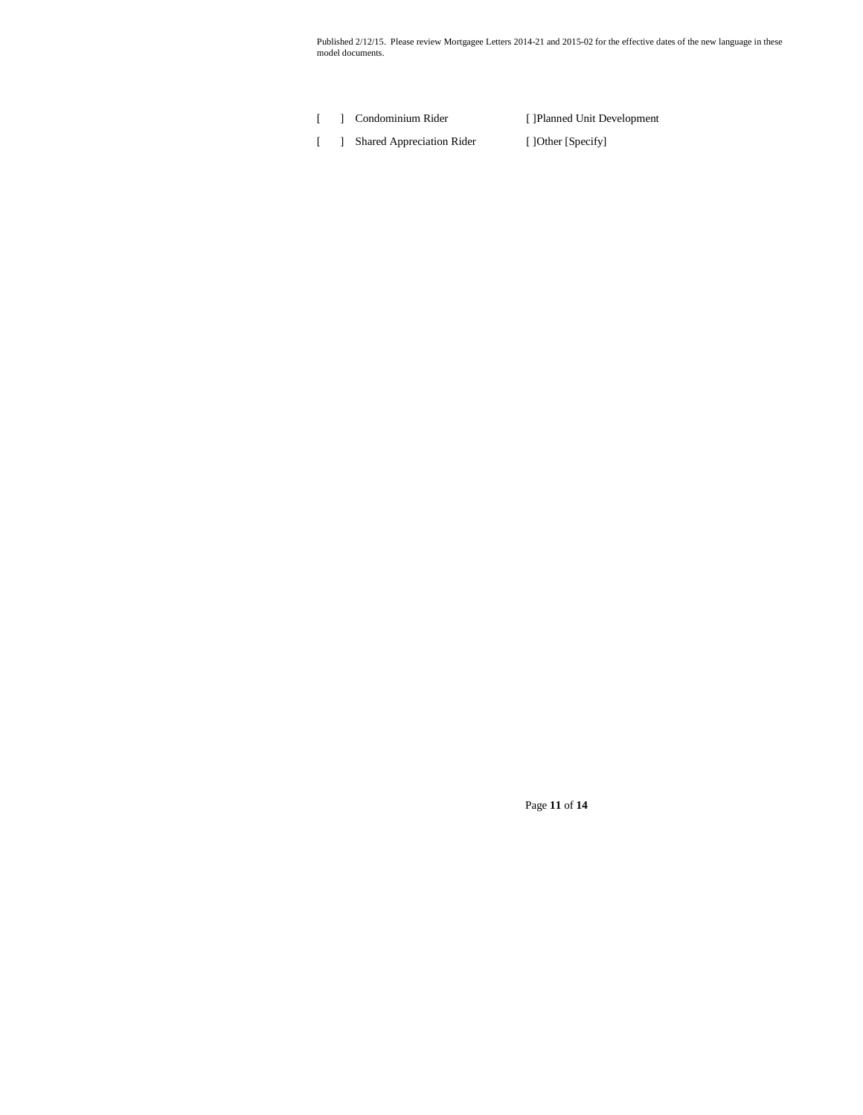[ ] Condominium Rider [ ]Planned Unit Development [ ] Shared Appreciation Rider [ ]Other [Specify]

Page **11** of **14**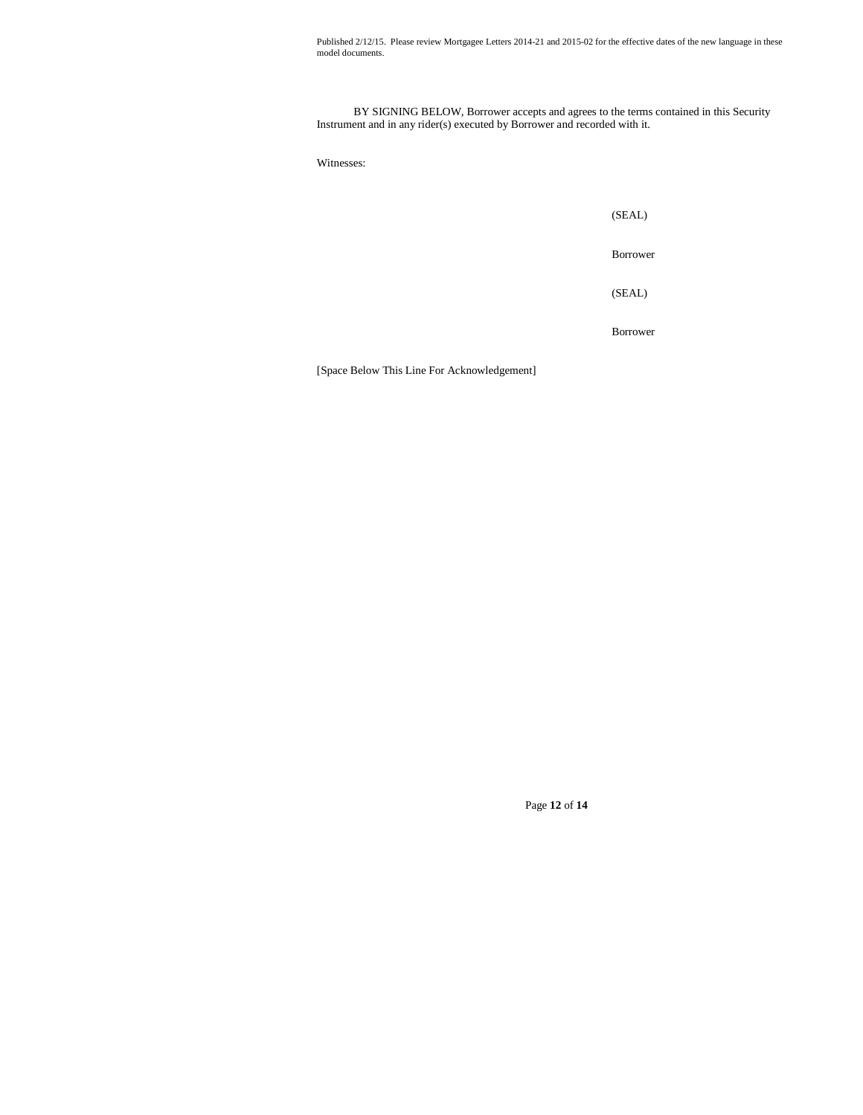BY SIGNING BELOW, Borrower accepts and agrees to the terms contained in this Security Instrument and in any rider(s) executed by Borrower and recorded with it.

Witnesses:

(SEAL)

Borrower

(SEAL)

Borrower

[Space Below This Line For Acknowledgement]

Page **12** of **14**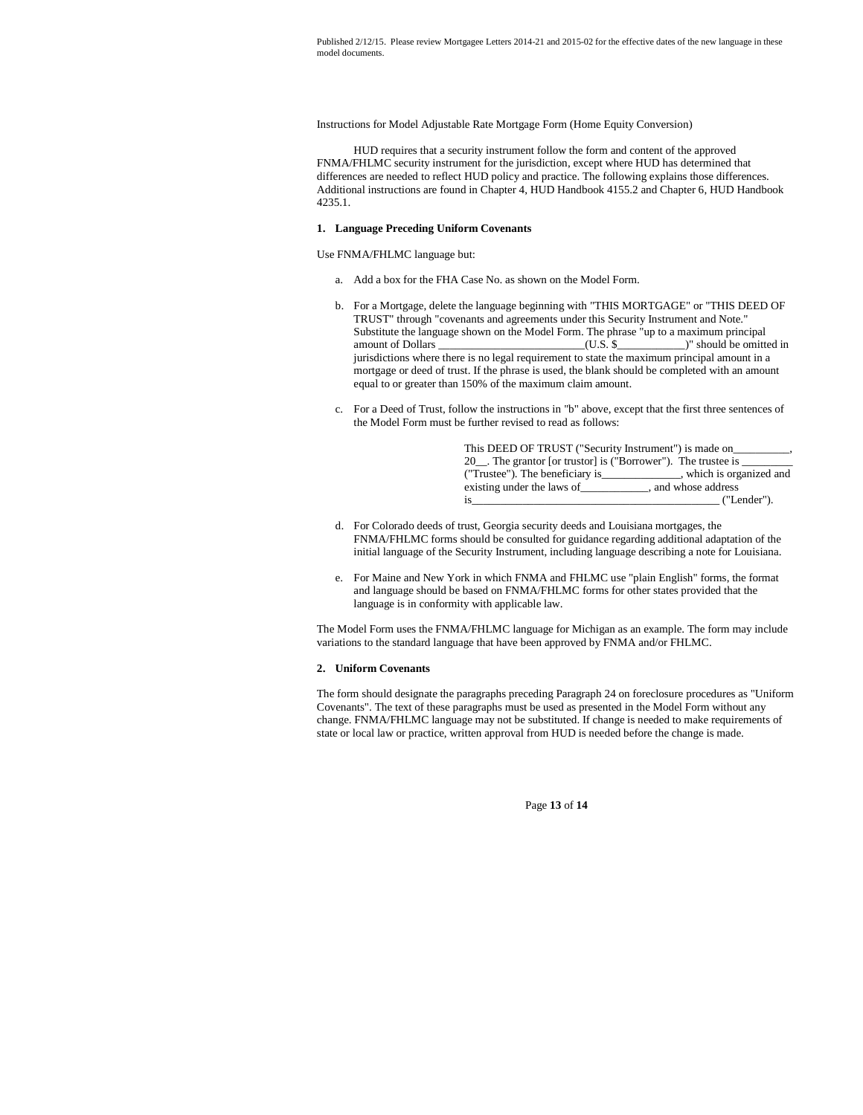Instructions for Model Adjustable Rate Mortgage Form (Home Equity Conversion)

HUD requires that a security instrument follow the form and content of the approved FNMA/FHLMC security instrument for the jurisdiction, except where HUD has determined that differences are needed to reflect HUD policy and practice. The following explains those differences. Additional instructions are found in Chapter 4, HUD Handbook 4155.2 and Chapter 6, HUD Handbook 4235.1.

#### **1. Language Preceding Uniform Covenants**

Use FNMA/FHLMC language but:

- a. Add a box for the FHA Case No. as shown on the Model Form.
- b. For a Mortgage, delete the language beginning with "THIS MORTGAGE" or "THIS DEED OF TRUST" through "covenants and agreements under this Security Instrument and Note." Substitute the language shown on the Model Form. The phrase "up to a maximum principal amount of Dollars \_\_\_\_\_\_\_\_\_\_\_\_\_\_\_\_\_\_\_\_\_\_\_\_\_\_(U.S. \$\_\_\_\_\_\_\_\_\_\_\_\_)" should be omitted in jurisdictions where there is no legal requirement to state the maximum principal amount in a mortgage or deed of trust. If the phrase is used, the blank should be completed with an amount equal to or greater than 150% of the maximum claim amount.
- c. For a Deed of Trust, follow the instructions in "b" above, except that the first three sentences of the Model Form must be further revised to read as follows:

| This DEED OF TRUST ("Security Instrument") is made on       |                          |  |
|-------------------------------------------------------------|--------------------------|--|
| 20 The grantor [or trustor] is ("Borrower"). The trustee is |                          |  |
| ("Trustee"). The beneficiary is                             | , which is organized and |  |
| existing under the laws of                                  | and whose address        |  |
| 1S                                                          | ("Lender").              |  |

- d. For Colorado deeds of trust, Georgia security deeds and Louisiana mortgages, the FNMA/FHLMC forms should be consulted for guidance regarding additional adaptation of the initial language of the Security Instrument, including language describing a note for Louisiana.
- e. For Maine and New York in which FNMA and FHLMC use "plain English" forms, the format and language should be based on FNMA/FHLMC forms for other states provided that the language is in conformity with applicable law.

The Model Form uses the FNMA/FHLMC language for Michigan as an example. The form may include variations to the standard language that have been approved by FNMA and/or FHLMC.

#### **2. Uniform Covenants**

The form should designate the paragraphs preceding Paragraph 24 on foreclosure procedures as "Uniform Covenants". The text of these paragraphs must be used as presented in the Model Form without any change. FNMA/FHLMC language may not be substituted. If change is needed to make requirements of state or local law or practice, written approval from HUD is needed before the change is made.

Page **13** of **14**